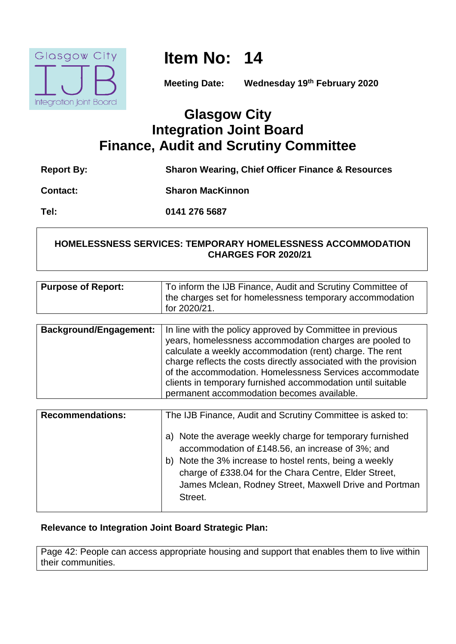

**Item No: 14**

**Meeting Date: Wednesday 19th February 2020**

# **Glasgow City Integration Joint Board Finance, Audit and Scrutiny Committee**

| <b>Report By:</b> | <b>Sharon Wearing, Chief Officer Finance &amp; Resources</b> |
|-------------------|--------------------------------------------------------------|
| <b>Contact:</b>   | <b>Sharon MacKinnon</b>                                      |
| Tel:              | 0141 276 5687                                                |

# **HOMELESSNESS SERVICES: TEMPORARY HOMELESSNESS ACCOMMODATION CHARGES FOR 2020/21**

| <b>Purpose of Report:</b>     | To inform the IJB Finance, Audit and Scrutiny Committee of<br>the charges set for homelessness temporary accommodation<br>for 2020/21. |
|-------------------------------|----------------------------------------------------------------------------------------------------------------------------------------|
|                               |                                                                                                                                        |
| <b>Background/Engagement:</b> | In line with the policy approved by Committee in previous<br>years, homelessness accommodation charges are pooled to                   |
|                               | calculate a weekly accommodation (rent) charge. The rent                                                                               |
|                               | charge reflects the costs directly associated with the provision                                                                       |

|                         | of the accommodation. Homelessness Services accommodate<br>clients in temporary furnished accommodation until suitable<br>permanent accommodation becomes available.                                                                                                                                   |
|-------------------------|--------------------------------------------------------------------------------------------------------------------------------------------------------------------------------------------------------------------------------------------------------------------------------------------------------|
|                         |                                                                                                                                                                                                                                                                                                        |
| <b>Recommendations:</b> | The IJB Finance, Audit and Scrutiny Committee is asked to:                                                                                                                                                                                                                                             |
|                         | a) Note the average weekly charge for temporary furnished<br>accommodation of £148.56, an increase of 3%; and<br>b) Note the 3% increase to hostel rents, being a weekly<br>charge of £338.04 for the Chara Centre, Elder Street,<br>James Mclean, Rodney Street, Maxwell Drive and Portman<br>Street. |

# **Relevance to Integration Joint Board Strategic Plan:**

Page 42: People can access appropriate housing and support that enables them to live within their communities.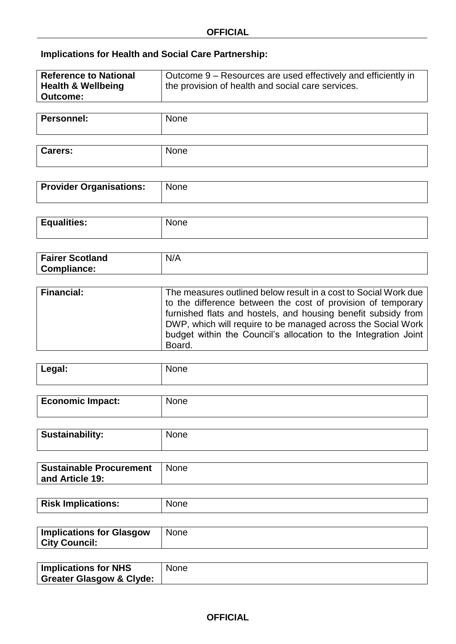# **Implications for Health and Social Care Partnership:**

| <b>Reference to National</b><br><b>Health &amp; Wellbeing</b><br><b>Outcome:</b> | Outcome 9 – Resources are used effectively and efficiently in<br>the provision of health and social care services. |
|----------------------------------------------------------------------------------|--------------------------------------------------------------------------------------------------------------------|
|                                                                                  |                                                                                                                    |

| <b>Personnel:</b> | None |
|-------------------|------|
|                   |      |

| <b>Carers:</b> | .<br>שטוו <del>כ</del> |
|----------------|------------------------|
|                |                        |
|                |                        |

| <b>Provider Organisations:</b> | None |
|--------------------------------|------|
|                                |      |

| <b>Equalities:</b> | .<br><b>NONG</b> |
|--------------------|------------------|
|                    |                  |

| <b>Fairer Scotland</b> | N/A |
|------------------------|-----|
| Compliance:            |     |

| <b>Financial:</b> | The measures outlined below result in a cost to Social Work due<br>to the difference between the cost of provision of temporary<br>furnished flats and hostels, and housing benefit subsidy from<br>DWP, which will require to be managed across the Social Work<br>budget within the Council's allocation to the Integration Joint |
|-------------------|-------------------------------------------------------------------------------------------------------------------------------------------------------------------------------------------------------------------------------------------------------------------------------------------------------------------------------------|
|                   | Board.                                                                                                                                                                                                                                                                                                                              |

| Legal: | None<br>--- - |
|--------|---------------|
|        |               |

| <b>Economic Impact:</b> | <b>None</b> |
|-------------------------|-------------|
|                         |             |

| <b>Sustainability:</b> | $\sim$ 100 $\sim$ |
|------------------------|-------------------|
|                        |                   |

| <b>Sustainable Procurement</b> | <b>None</b> |
|--------------------------------|-------------|
| and Article 19:                |             |
|                                |             |

| <b>Risk Implications:</b> | None |
|---------------------------|------|
|                           |      |

| <b>Implications for Glasgow</b> | ∣ None |
|---------------------------------|--------|
| <b>City Council:</b>            |        |
|                                 |        |

| <b>Implications for NHS</b>         | None |
|-------------------------------------|------|
| <b>Greater Glasgow &amp; Clyde:</b> |      |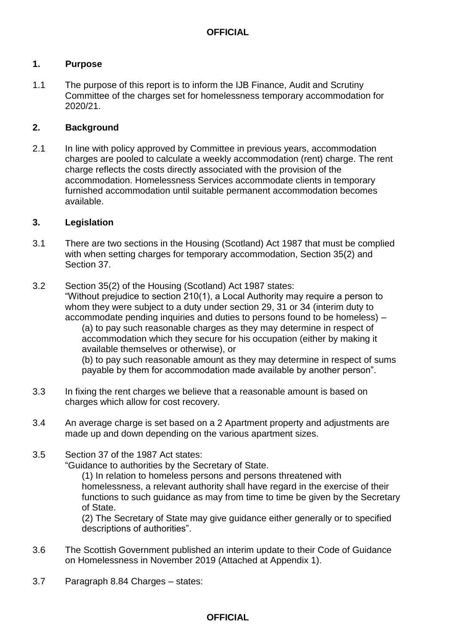### **1. Purpose**

1.1 The purpose of this report is to inform the IJB Finance, Audit and Scrutiny Committee of the charges set for homelessness temporary accommodation for 2020/21.

#### **2. Background**

2.1 In line with policy approved by Committee in previous years, accommodation charges are pooled to calculate a weekly accommodation (rent) charge. The rent charge reflects the costs directly associated with the provision of the accommodation. Homelessness Services accommodate clients in temporary furnished accommodation until suitable permanent accommodation becomes available.

#### **3. Legislation**

- 3.1 There are two sections in the Housing (Scotland) Act 1987 that must be complied with when setting charges for temporary accommodation, Section 35(2) and Section 37.
- 3.2 Section 35(2) of the Housing (Scotland) Act 1987 states: "Without prejudice to section 210(1), a Local Authority may require a person to whom they were subject to a duty under section 29, 31 or 34 (interim duty to accommodate pending inquiries and duties to persons found to be homeless) – (a) to pay such reasonable charges as they may determine in respect of accommodation which they secure for his occupation (either by making it available themselves or otherwise), or (b) to pay such reasonable amount as they may determine in respect of sums payable by them for accommodation made available by another person".
- 3.3 In fixing the rent charges we believe that a reasonable amount is based on charges which allow for cost recovery.
- 3.4 An average charge is set based on a 2 Apartment property and adjustments are made up and down depending on the various apartment sizes.
- 3.5 Section 37 of the 1987 Act states:

"Guidance to authorities by the Secretary of State.

(1) In relation to homeless persons and persons threatened with homelessness, a relevant authority shall have regard in the exercise of their functions to such guidance as may from time to time be given by the Secretary of State.

(2) The Secretary of State may give guidance either generally or to specified descriptions of authorities".

- 3.6 The Scottish Government published an interim update to their Code of Guidance on Homelessness in November 2019 (Attached at Appendix 1).
- 3.7 Paragraph 8.84 Charges states:

# **OFFICIAL**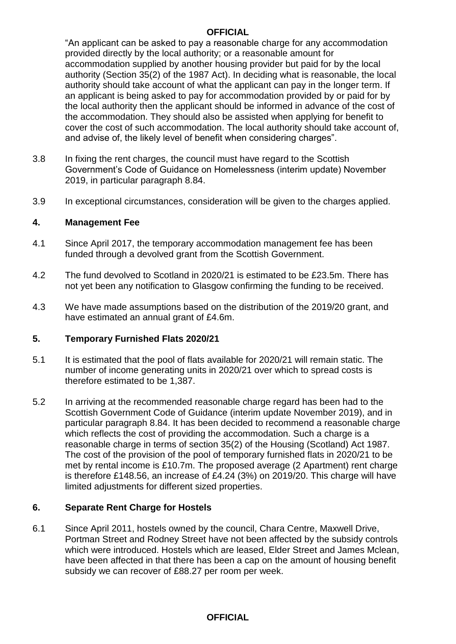# **OFFICIAL**

"An applicant can be asked to pay a reasonable charge for any accommodation provided directly by the local authority; or a reasonable amount for accommodation supplied by another housing provider but paid for by the local authority (Section 35(2) of the 1987 Act). In deciding what is reasonable, the local authority should take account of what the applicant can pay in the longer term. If an applicant is being asked to pay for accommodation provided by or paid for by the local authority then the applicant should be informed in advance of the cost of the accommodation. They should also be assisted when applying for benefit to cover the cost of such accommodation. The local authority should take account of, and advise of, the likely level of benefit when considering charges".

- 3.8 In fixing the rent charges, the council must have regard to the Scottish Government's Code of Guidance on Homelessness (interim update) November 2019, in particular paragraph 8.84.
- 3.9 In exceptional circumstances, consideration will be given to the charges applied.

### **4. Management Fee**

- 4.1 Since April 2017, the temporary accommodation management fee has been funded through a devolved grant from the Scottish Government.
- 4.2 The fund devolved to Scotland in 2020/21 is estimated to be £23.5m. There has not yet been any notification to Glasgow confirming the funding to be received.
- 4.3 We have made assumptions based on the distribution of the 2019/20 grant, and have estimated an annual grant of £4.6m.

# **5. Temporary Furnished Flats 2020/21**

- 5.1 It is estimated that the pool of flats available for 2020/21 will remain static. The number of income generating units in 2020/21 over which to spread costs is therefore estimated to be 1,387.
- 5.2 In arriving at the recommended reasonable charge regard has been had to the Scottish Government Code of Guidance (interim update November 2019), and in particular paragraph 8.84. It has been decided to recommend a reasonable charge which reflects the cost of providing the accommodation. Such a charge is a reasonable charge in terms of section 35(2) of the Housing (Scotland) Act 1987. The cost of the provision of the pool of temporary furnished flats in 2020/21 to be met by rental income is £10.7m. The proposed average (2 Apartment) rent charge is therefore £148.56, an increase of £4.24 (3%) on 2019/20. This charge will have limited adjustments for different sized properties.

# **6. Separate Rent Charge for Hostels**

6.1 Since April 2011, hostels owned by the council, Chara Centre, Maxwell Drive, Portman Street and Rodney Street have not been affected by the subsidy controls which were introduced. Hostels which are leased, Elder Street and James Mclean, have been affected in that there has been a cap on the amount of housing benefit subsidy we can recover of £88.27 per room per week.

#### **OFFICIAL**